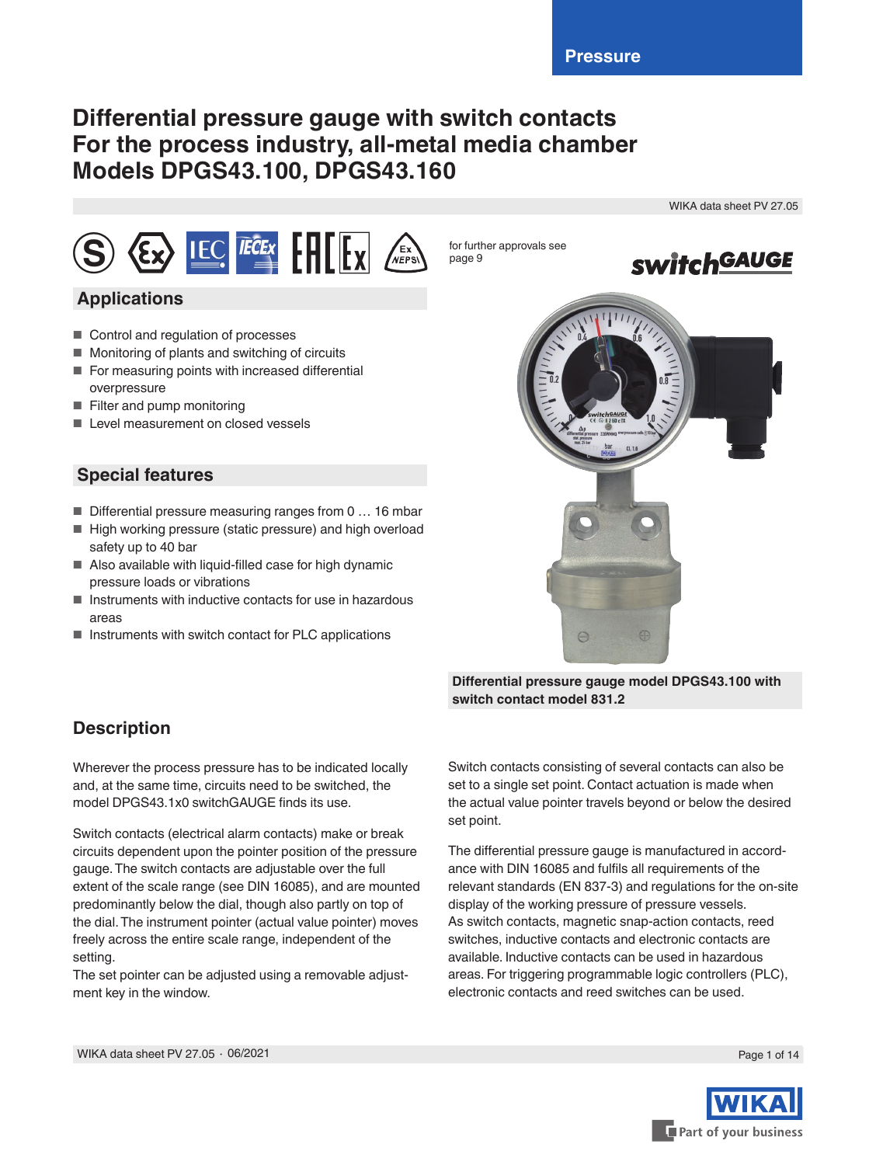# **Differential pressure gauge with switch contacts For the process industry, all-metal media chamber Models DPGS43.100, DPGS43.160**

WIKA data sheet PV 27.05



# **Applications**

- Control and regulation of processes
- Monitoring of plants and switching of circuits
- For measuring points with increased differential overpressure
- Filter and pump monitoring
- Level measurement on closed vessels

### **Special features**

- $\blacksquare$  Differential pressure measuring ranges from 0 ... 16 mbar
- High working pressure (static pressure) and high overload safety up to 40 bar
- Also available with liquid-filled case for high dynamic pressure loads or vibrations
- Instruments with inductive contacts for use in hazardous areas
- Instruments with switch contact for PLC applications



**Differential pressure gauge model DPGS43.100 with switch contact model 831.2**

# **Description**

Wherever the process pressure has to be indicated locally and, at the same time, circuits need to be switched, the model DPGS43.1x0 switchGAUGE finds its use.

Switch contacts (electrical alarm contacts) make or break circuits dependent upon the pointer position of the pressure gauge. The switch contacts are adjustable over the full extent of the scale range (see DIN 16085), and are mounted predominantly below the dial, though also partly on top of the dial. The instrument pointer (actual value pointer) moves freely across the entire scale range, independent of the setting.

The set pointer can be adjusted using a removable adjustment key in the window.

Switch contacts consisting of several contacts can also be set to a single set point. Contact actuation is made when the actual value pointer travels beyond or below the desired set point.

The differential pressure gauge is manufactured in accordance with DIN 16085 and fulfils all requirements of the relevant standards (EN 837-3) and regulations for the on-site display of the working pressure of pressure vessels. As switch contacts, magnetic snap-action contacts, reed switches, inductive contacts and electronic contacts are available. Inductive contacts can be used in hazardous areas. For triggering programmable logic controllers (PLC), electronic contacts and reed switches can be used.

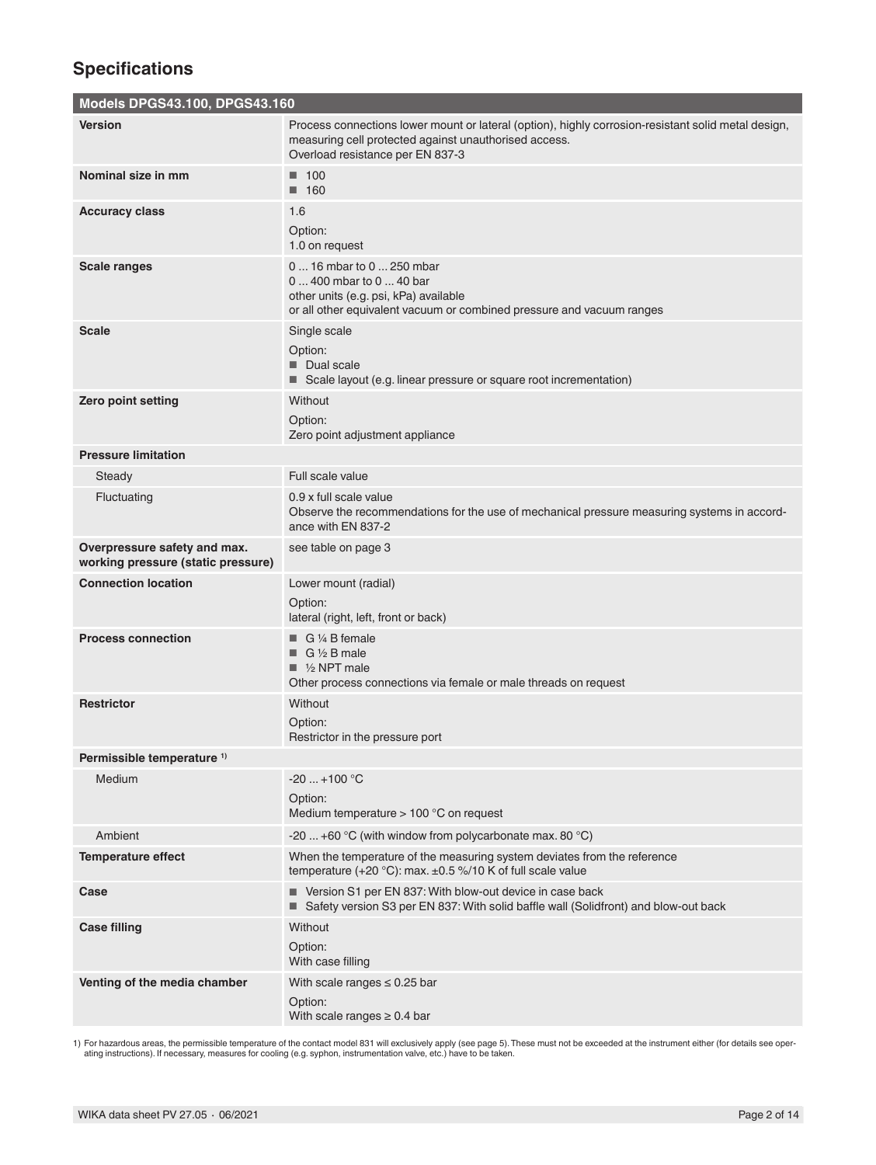# **Specifications**

### **Models DPGS43.100, DPGS43.160**

| <u>MUUCIS DI UUTU.TUU, DI UUTU.TUU</u>                             |                                                                                                                                                                                                  |
|--------------------------------------------------------------------|--------------------------------------------------------------------------------------------------------------------------------------------------------------------------------------------------|
| <b>Version</b>                                                     | Process connections lower mount or lateral (option), highly corrosion-resistant solid metal design,<br>measuring cell protected against unauthorised access.<br>Overload resistance per EN 837-3 |
| Nominal size in mm                                                 | $\blacksquare$ 100<br>$\blacksquare$ 160                                                                                                                                                         |
| <b>Accuracy class</b>                                              | 1.6                                                                                                                                                                                              |
|                                                                    | Option:<br>1.0 on request                                                                                                                                                                        |
| <b>Scale ranges</b>                                                | 0  16 mbar to 0  250 mbar<br>0  400 mbar to 0  40 bar<br>other units (e.g. psi, kPa) available<br>or all other equivalent vacuum or combined pressure and vacuum ranges                          |
| <b>Scale</b>                                                       | Single scale<br>Option:<br>Dual scale<br>Scale layout (e.g. linear pressure or square root incrementation)                                                                                       |
| Zero point setting                                                 | Without<br>Option:<br>Zero point adjustment appliance                                                                                                                                            |
| <b>Pressure limitation</b>                                         |                                                                                                                                                                                                  |
| Steady                                                             | Full scale value                                                                                                                                                                                 |
| Fluctuating                                                        | 0.9 x full scale value<br>Observe the recommendations for the use of mechanical pressure measuring systems in accord-<br>ance with EN 837-2                                                      |
| Overpressure safety and max.<br>working pressure (static pressure) | see table on page 3                                                                                                                                                                              |
| <b>Connection location</b>                                         | Lower mount (radial)<br>Option:<br>lateral (right, left, front or back)                                                                                                                          |
| <b>Process connection</b>                                          | $\Box$ G ¼ B female<br>$\Box$ G 1/2 B male<br>$\blacksquare$ 1/2 NPT male<br>Other process connections via female or male threads on request                                                     |
| <b>Restrictor</b>                                                  | Without<br>Option:<br>Restrictor in the pressure port                                                                                                                                            |
| Permissible temperature <sup>1)</sup>                              |                                                                                                                                                                                                  |
| Medium                                                             | $-20+100$ °C<br>Option:<br>Medium temperature > 100 °C on request                                                                                                                                |
| Ambient                                                            | -20  +60 °C (with window from polycarbonate max. 80 °C)                                                                                                                                          |
| <b>Temperature effect</b>                                          | When the temperature of the measuring system deviates from the reference<br>temperature (+20 $^{\circ}$ C): max. ±0.5 %/10 K of full scale value                                                 |
| Case                                                               | ■ Version S1 per EN 837: With blow-out device in case back<br>■ Safety version S3 per EN 837: With solid baffle wall (Solidfront) and blow-out back                                              |
| <b>Case filling</b>                                                | <b>Without</b><br>Option:<br>With case filling                                                                                                                                                   |
| Venting of the media chamber                                       | With scale ranges $\leq 0.25$ bar<br>Option:<br>With scale ranges $\geq 0.4$ bar                                                                                                                 |

1) For hazardous areas, the permissible temperature of the contact model 831 will exclusively apply (see page 5). These must not be exceeded at the instrument either (for details see oper-<br>ating instructions). If necessary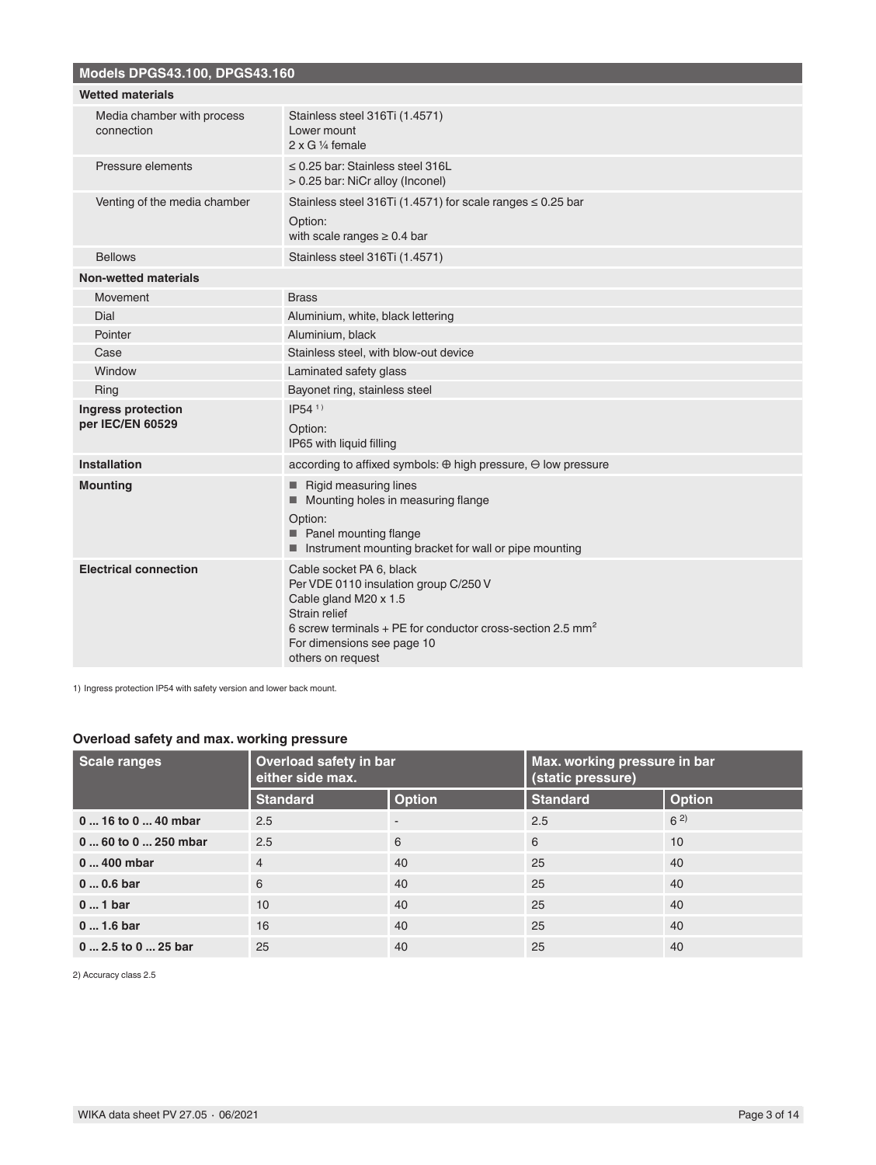| <b>Models DPGS43.100, DPGS43.160</b>     |                                                                                                                                                                                                                                |
|------------------------------------------|--------------------------------------------------------------------------------------------------------------------------------------------------------------------------------------------------------------------------------|
| <b>Wetted materials</b>                  |                                                                                                                                                                                                                                |
| Media chamber with process<br>connection | Stainless steel 316Ti (1.4571)<br>Lower mount<br>$2 \times G$ ¼ female                                                                                                                                                         |
| Pressure elements                        | $\leq$ 0.25 bar: Stainless steel 316L<br>> 0.25 bar: NiCr alloy (Inconel)                                                                                                                                                      |
| Venting of the media chamber             | Stainless steel 316Ti (1.4571) for scale ranges $\leq 0.25$ bar<br>Option:<br>with scale ranges $\geq 0.4$ bar                                                                                                                 |
| <b>Bellows</b>                           | Stainless steel 316Ti (1.4571)                                                                                                                                                                                                 |
| <b>Non-wetted materials</b>              |                                                                                                                                                                                                                                |
| Movement                                 | <b>Brass</b>                                                                                                                                                                                                                   |
| Dial                                     | Aluminium, white, black lettering                                                                                                                                                                                              |
| Pointer                                  | Aluminium, black                                                                                                                                                                                                               |
| Case                                     | Stainless steel, with blow-out device                                                                                                                                                                                          |
| Window                                   | Laminated safety glass                                                                                                                                                                                                         |
| Ring                                     | Bayonet ring, stainless steel                                                                                                                                                                                                  |
| Ingress protection<br>per IEC/EN 60529   | $IP54^{1}$<br>Option:<br>IP65 with liquid filling                                                                                                                                                                              |
| Installation                             | according to affixed symbols: $\oplus$ high pressure, $\ominus$ low pressure                                                                                                                                                   |
| <b>Mounting</b>                          | <b>Rigid measuring lines</b><br>Mounting holes in measuring flange<br>Option:<br>Panel mounting flange<br>Instrument mounting bracket for wall or pipe mounting                                                                |
| <b>Electrical connection</b>             | Cable socket PA 6, black<br>Per VDE 0110 insulation group C/250 V<br>Cable gland M20 x 1.5<br>Strain relief<br>6 screw terminals + PE for conductor cross-section 2.5 $mm2$<br>For dimensions see page 10<br>others on request |

1) Ingress protection IP54 with safety version and lower back mount.

### **Overload safety and max. working pressure**

| <b>Scale ranges</b>  | Overload safety in bar<br>either side max. |               | Max. working pressure in bar<br>(static pressure) |               |
|----------------------|--------------------------------------------|---------------|---------------------------------------------------|---------------|
|                      | <b>Standard</b>                            | <b>Option</b> | <b>Standard</b>                                   | <b>Option</b> |
| $016$ to $040$ mbar  | 2.5                                        |               | 2.5                                               | $6^{2}$       |
| $060$ to $0250$ mbar | 2.5                                        | 6             | 6                                                 | 10            |
| $0400$ mbar          | $\overline{4}$                             | 40            | 25                                                | 40            |
| $00.6$ bar           | 6                                          | 40            | 25                                                | 40            |
| $01$ bar             | 10                                         | 40            | 25                                                | 40            |
| $01.6$ bar           | 16                                         | 40            | 25                                                | 40            |
| $02.5$ to $025$ bar  | 25                                         | 40            | 25                                                | 40            |

2) Accuracy class 2.5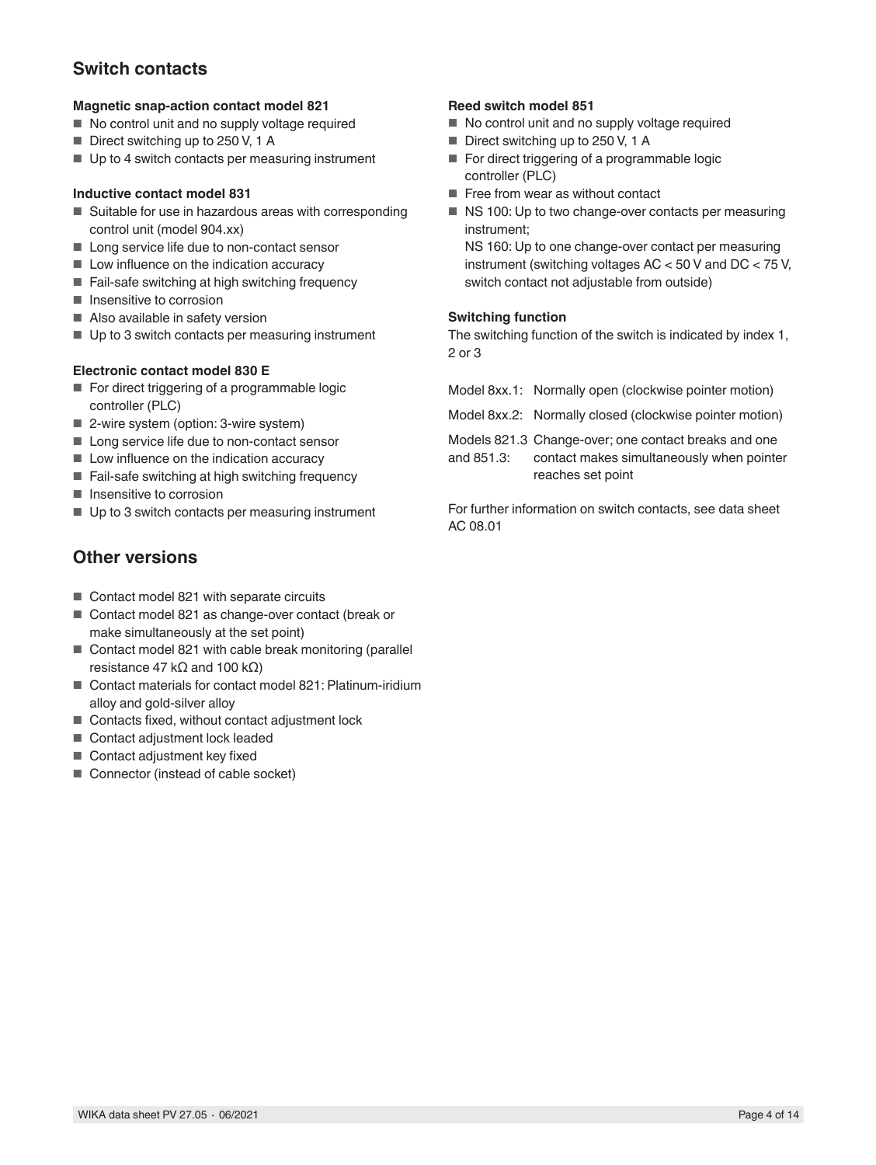# **Switch contacts**

#### **Magnetic snap-action contact model 821**

- No control unit and no supply voltage required
- Direct switching up to 250 V, 1 A
- Up to 4 switch contacts per measuring instrument

#### **Inductive contact model 831**

- Suitable for use in hazardous areas with corresponding control unit (model 904.xx)
- Long service life due to non-contact sensor
- Low influence on the indication accuracy
- Fail-safe switching at high switching frequency
- Insensitive to corrosion
- Also available in safety version
- Up to 3 switch contacts per measuring instrument

#### **Electronic contact model 830 E**

- For direct triggering of a programmable logic controller (PLC)
- 2-wire system (option: 3-wire system)
- Long service life due to non-contact sensor
- Low influence on the indication accuracy
- Fail-safe switching at high switching frequency
- Insensitive to corrosion
- Up to 3 switch contacts per measuring instrument

### **Other versions**

- Contact model 821 with separate circuits
- Contact model 821 as change-over contact (break or make simultaneously at the set point)
- Contact model 821 with cable break monitoring (parallel resistance 47 kΩ and 100 kΩ)
- Contact materials for contact model 821: Platinum-iridium alloy and gold-silver alloy
- Contacts fixed, without contact adjustment lock
- Contact adjustment lock leaded
- Contact adjustment key fixed
- Connector (instead of cable socket)

### **Reed switch model 851**

- No control unit and no supply voltage required
- Direct switching up to 250 V, 1 A
- For direct triggering of a programmable logic controller (PLC)
- Free from wear as without contact
- NS 100: Up to two change-over contacts per measuring instrument;

NS 160: Up to one change-over contact per measuring instrument (switching voltages AC < 50 V and DC < 75 V, switch contact not adjustable from outside)

#### **Switching function**

The switching function of the switch is indicated by index 1, 2 or 3

|            | Model 8xx.1: Normally open (clockwise pointer motion)                                                                  |
|------------|------------------------------------------------------------------------------------------------------------------------|
|            | Model 8xx.2: Normally closed (clockwise pointer motion)                                                                |
| and 851.3: | Models 821.3 Change-over; one contact breaks and one<br>contact makes simultaneously when pointer<br>reaches set point |
|            | For further information on switch contacts, see data sheet                                                             |

For further information on switch contacts, see data sheet AC 08.01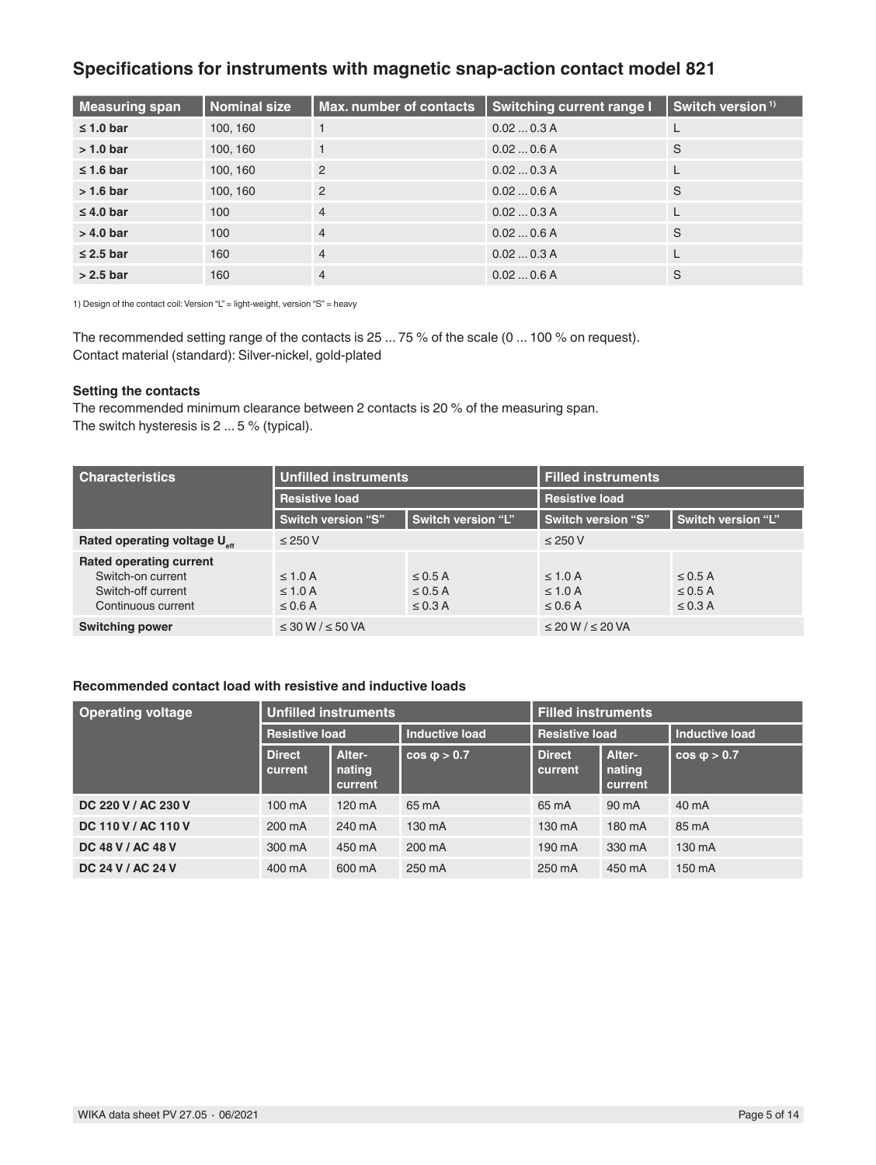## **Specifications for instruments with magnetic snap-action contact model 821**

| Measuring span | <b>Nominal size</b> | Max. number of contacts | <b>Switching current range I</b> | Switch version <sup>1)</sup> |
|----------------|---------------------|-------------------------|----------------------------------|------------------------------|
| $\leq 1.0$ bar | 100, 160            |                         | 0.020.3A                         |                              |
| $>1.0$ bar     | 100, 160            |                         | 0.020.6A                         | S                            |
| $\leq 1.6$ bar | 100, 160            | $\overline{2}$          | 0.020.3A                         |                              |
| $> 1.6$ bar    | 100, 160            | 2                       | 0.020.6A                         | S                            |
| $\leq 4.0$ bar | 100                 | $\overline{4}$          | 0.020.3A                         |                              |
| $> 4.0$ bar    | 100                 | $\overline{4}$          | 0.020.6A                         | S                            |
| $\leq$ 2.5 bar | 160                 | $\overline{4}$          | 0.020.3A                         |                              |
| $> 2.5$ bar    | 160                 | $\overline{4}$          | 0.020.6A                         | S                            |

1) Design of the contact coil: Version "L" = light-weight, version "S" = heavy

The recommended setting range of the contacts is 25 ... 75 % of the scale (0 ... 100 % on request). Contact material (standard): Silver-nickel, gold-plated

#### **Setting the contacts**

The recommended minimum clearance between 2 contacts is 20 % of the measuring span. The switch hysteresis is 2 ... 5 % (typical).

| <b>Characteristics</b>                                                                          | <b>Unfilled instruments</b>                  |                                              | <b>Filled instruments</b>                    |                                              |
|-------------------------------------------------------------------------------------------------|----------------------------------------------|----------------------------------------------|----------------------------------------------|----------------------------------------------|
|                                                                                                 | <b>Resistive load</b>                        |                                              | <b>Resistive load</b>                        |                                              |
|                                                                                                 | Switch version "S"                           | Switch version "L"                           | Switch version "S",                          | Switch version "L"                           |
| Rated operating voltage U <sub>st</sub>                                                         | $\leq$ 250 V                                 |                                              | $\leq$ 250 V                                 |                                              |
| <b>Rated operating current</b><br>Switch-on current<br>Switch-off current<br>Continuous current | $\leq 1.0$ A<br>$\leq 1.0$ A<br>$\leq$ 0.6 A | $\leq$ 0.5 A<br>$\leq$ 0.5 A<br>$\leq$ 0.3 A | $\leq 1.0$ A<br>$\leq 1.0$ A<br>$\leq$ 0.6 A | $\leq$ 0.5 A<br>$\leq$ 0.5 A<br>$\leq$ 0.3 A |
| <b>Switching power</b>                                                                          | $\leq$ 30 W / $\leq$ 50 VA                   |                                              | $\leq$ 20 W / $\leq$ 20 VA                   |                                              |

#### **Recommended contact load with resistive and inductive loads**

| <b>Operating voltage</b> | <b>Unfilled instruments</b> |                             | <b>Filled instruments</b> |                          |                             |                       |
|--------------------------|-----------------------------|-----------------------------|---------------------------|--------------------------|-----------------------------|-----------------------|
|                          | <b>Resistive load</b>       |                             | <b>Inductive load</b>     | <b>Resistive load</b>    |                             | <b>Inductive load</b> |
|                          | <b>Direct</b><br>current    | Alter-<br>nating<br>current | $cos \phi > 0.7$          | <b>Direct</b><br>current | Alter-<br>nating<br>current | $cos \phi > 0.7$      |
| DC 220 V / AC 230 V      | 100 mA                      | $120 \text{ mA}$            | 65 mA                     | 65 mA                    | 90 mA                       | 40 mA                 |
| DC 110 V / AC 110 V      | 200 mA                      | 240 mA                      | 130 mA                    | 130 mA                   | 180 mA                      | 85 mA                 |
| DC 48 V / AC 48 V        | 300 mA                      | 450 mA                      | 200 mA                    | 190 mA                   | 330 mA                      | 130 mA                |
| DC 24 V / AC 24 V        | 400 mA                      | 600 mA                      | 250 mA                    | 250 mA                   | 450 mA                      | 150 mA                |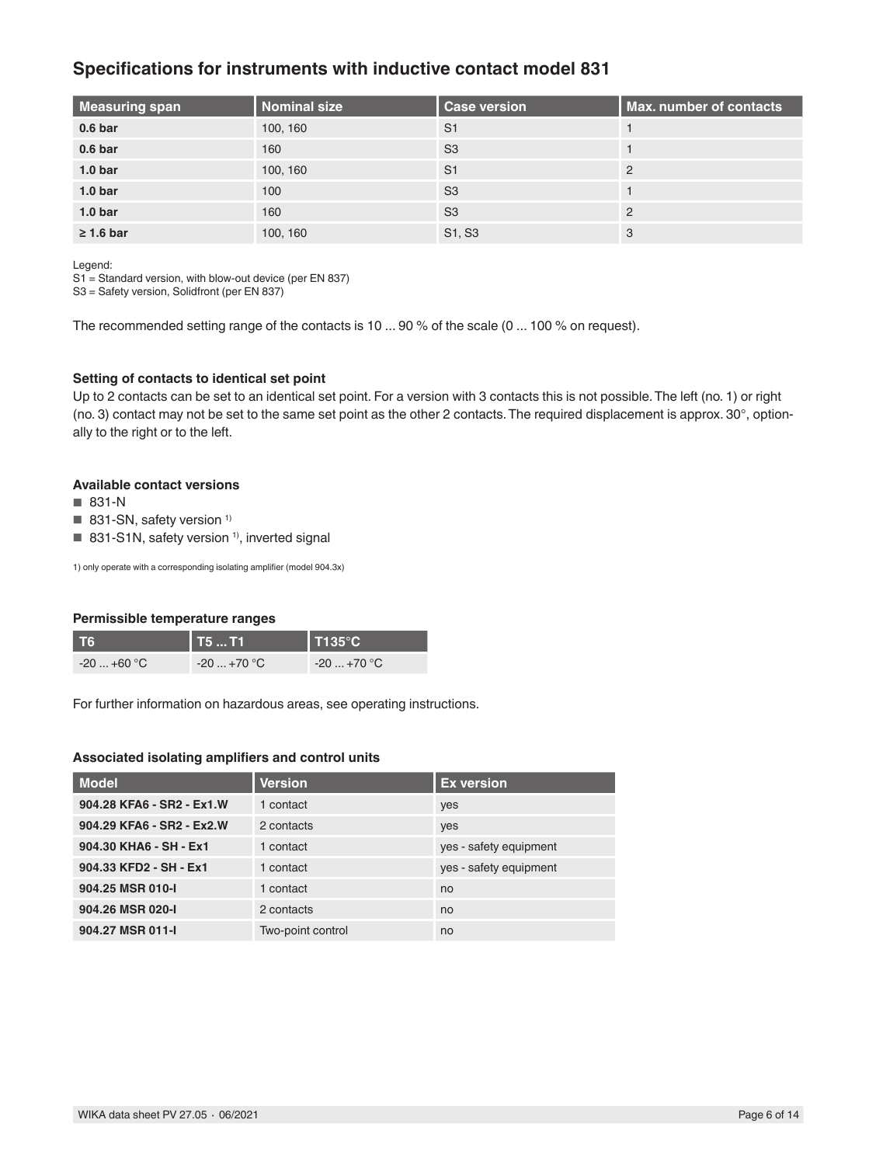### **Specifications for instruments with inductive contact model 831**

| <b>Measuring span</b> | <b>Nominal size</b> | <b>Case version</b> | <b>Max. number of contacts</b> |
|-----------------------|---------------------|---------------------|--------------------------------|
| 0.6 <sub>bar</sub>    | 100, 160            | S <sub>1</sub>      |                                |
| 0.6 <sub>bar</sub>    | 160                 | S <sub>3</sub>      |                                |
| 1.0 <sub>bar</sub>    | 100, 160            | S <sub>1</sub>      | 2                              |
| 1.0 <sub>bar</sub>    | 100                 | S <sub>3</sub>      |                                |
| 1.0 <sub>bar</sub>    | 160                 | S <sub>3</sub>      | $\mathcal{P}$                  |
| $\geq 1.6$ bar        | 100, 160            | S1, S3              | 3                              |

Legend:

S1 = Standard version, with blow-out device (per EN 837)

S3 = Safety version, Solidfront (per EN 837)

The recommended setting range of the contacts is 10 ... 90 % of the scale (0 ... 100 % on request).

#### **Setting of contacts to identical set point**

Up to 2 contacts can be set to an identical set point. For a version with 3 contacts this is not possible. The left (no. 1) or right (no. 3) contact may not be set to the same set point as the other 2 contacts. The required displacement is approx. 30°, optionally to the right or to the left.

#### **Available contact versions**

- 831-N
- 831-SN, safety version<sup>1)</sup>
- 831-S1N, safety version<sup>1)</sup>, inverted signal

1) only operate with a corresponding isolating amplifier (model 904.3x)

#### **Permissible temperature ranges**

| T6                     | T5  T1                 | $\blacksquare$ T135 $^\circ$ C |
|------------------------|------------------------|--------------------------------|
| $-20+60$ °C $^{\circ}$ | $-20+70$ °C $^{\circ}$ | $-20+70$ °C $^\circ$           |

For further information on hazardous areas, see operating instructions.

#### **Associated isolating amplifiers and control units**

| <b>Model</b>              | <b>Version</b>    | <b>Ex version</b>      |
|---------------------------|-------------------|------------------------|
| 904.28 KFA6 - SR2 - Ex1.W | 1 contact         | yes                    |
| 904.29 KFA6 - SR2 - Ex2.W | 2 contacts        | yes                    |
| 904.30 KHA6 - SH - Ex1    | 1 contact         | yes - safety equipment |
| 904.33 KFD2 - SH - Ex1    | 1 contact         | yes - safety equipment |
| 904.25 MSR 010-I          | 1 contact         | no                     |
| 904.26 MSR 020-I          | 2 contacts        | no                     |
| 904.27 MSR 011-I          | Two-point control | no                     |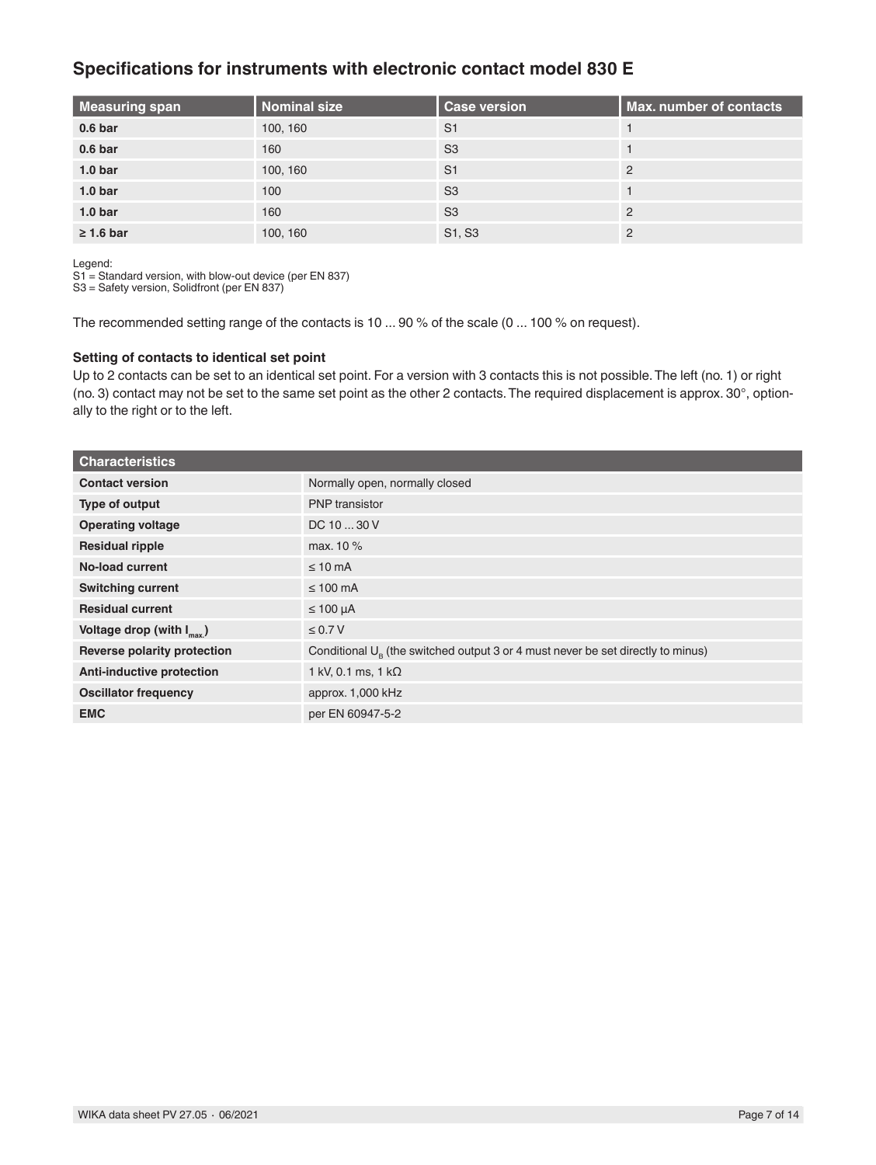### **Specifications for instruments with electronic contact model 830 E**

| <b>Measuring span</b> | Nominal size | <b>Case version</b> | <b>Max. number of contacts</b> |
|-----------------------|--------------|---------------------|--------------------------------|
| 0.6 <sub>bar</sub>    | 100, 160     | S <sub>1</sub>      |                                |
| 0.6 <sub>bar</sub>    | 160          | S <sub>3</sub>      |                                |
| 1.0 <sub>bar</sub>    | 100, 160     | S <sub>1</sub>      | 2                              |
| 1.0 <sub>bar</sub>    | 100          | S <sub>3</sub>      |                                |
| 1.0 <sub>bar</sub>    | 160          | S <sub>3</sub>      | $\mathcal{P}$                  |
| $\geq 1.6$ bar        | 100, 160     | S1, S3              | C                              |

Legend:

S1 = Standard version, with blow-out device (per EN 837)

S3 = Safety version, Solidfront (per EN 837)

The recommended setting range of the contacts is 10 ... 90 % of the scale (0 ... 100 % on request).

#### **Setting of contacts to identical set point**

Up to 2 contacts can be set to an identical set point. For a version with 3 contacts this is not possible. The left (no. 1) or right (no. 3) contact may not be set to the same set point as the other 2 contacts. The required displacement is approx. 30°, optionally to the right or to the left.

| <b>Characteristics</b>                |                                                                                          |
|---------------------------------------|------------------------------------------------------------------------------------------|
| <b>Contact version</b>                | Normally open, normally closed                                                           |
| Type of output                        | <b>PNP</b> transistor                                                                    |
| <b>Operating voltage</b>              | DC 10  30 V                                                                              |
| <b>Residual ripple</b>                | max. 10 %                                                                                |
| No-load current                       | $\leq 10$ mA                                                                             |
| <b>Switching current</b>              | $\leq 100$ mA                                                                            |
| <b>Residual current</b>               | $\leq 100 \mu A$                                                                         |
| Voltage drop (with $I_{\text{max}}$ ) | $\leq 0.7 V$                                                                             |
| Reverse polarity protection           | Conditional $U_{\rm B}$ (the switched output 3 or 4 must never be set directly to minus) |
| <b>Anti-inductive protection</b>      | 1 kV, 0.1 ms, 1 k $\Omega$                                                               |
| <b>Oscillator frequency</b>           | approx. 1,000 kHz                                                                        |
| <b>EMC</b>                            | per EN 60947-5-2                                                                         |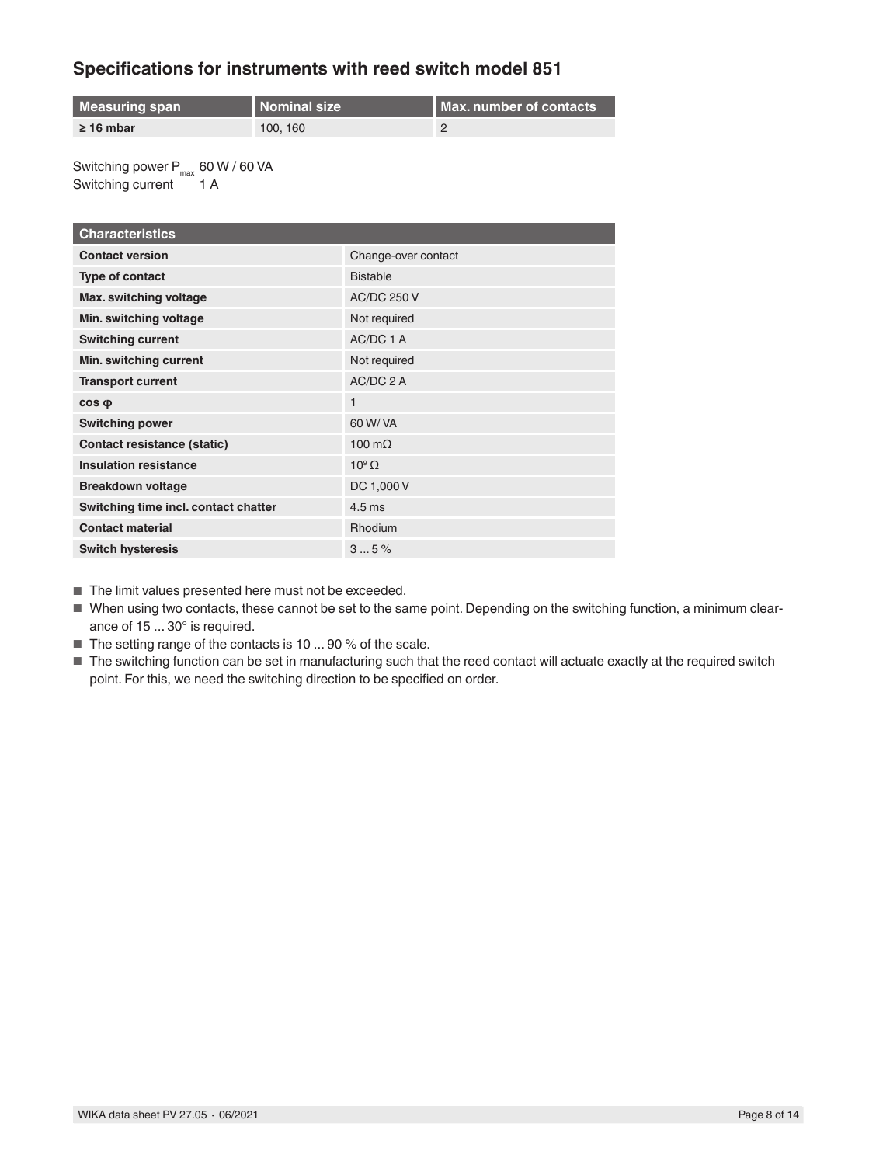## **Specifications for instruments with reed switch model 851**

| Measuring span | <b>Nominal size</b> | <b>I Max. number of contacts</b> |
|----------------|---------------------|----------------------------------|
| $\geq$ 16 mbar | 100, 160            |                                  |

Switching power  $P_{max}$  60 W / 60 VA Switching current 1 A

| <b>Characteristics</b>               |                     |
|--------------------------------------|---------------------|
| <b>Contact version</b>               | Change-over contact |
| Type of contact                      | <b>Bistable</b>     |
| Max. switching voltage               | <b>AC/DC 250 V</b>  |
| Min. switching voltage               | Not required        |
| <b>Switching current</b>             | AC/DC 1 A           |
| Min. switching current               | Not required        |
| <b>Transport current</b>             | AC/DC 2 A           |
| $cos \phi$                           | 1                   |
| <b>Switching power</b>               | 60 W/ VA            |
| Contact resistance (static)          | 100 $m\Omega$       |
| <b>Insulation resistance</b>         | $10^9$ $\Omega$     |
| <b>Breakdown voltage</b>             | DC 1,000 V          |
| Switching time incl. contact chatter | $4.5 \text{ ms}$    |
| <b>Contact material</b>              | <b>Rhodium</b>      |
| <b>Switch hysteresis</b>             | 35%                 |

■ The limit values presented here must not be exceeded.

- When using two contacts, these cannot be set to the same point. Depending on the switching function, a minimum clearance of 15 ... 30° is required.
- The setting range of the contacts is 10 ... 90 % of the scale.
- The switching function can be set in manufacturing such that the reed contact will actuate exactly at the required switch point. For this, we need the switching direction to be specified on order.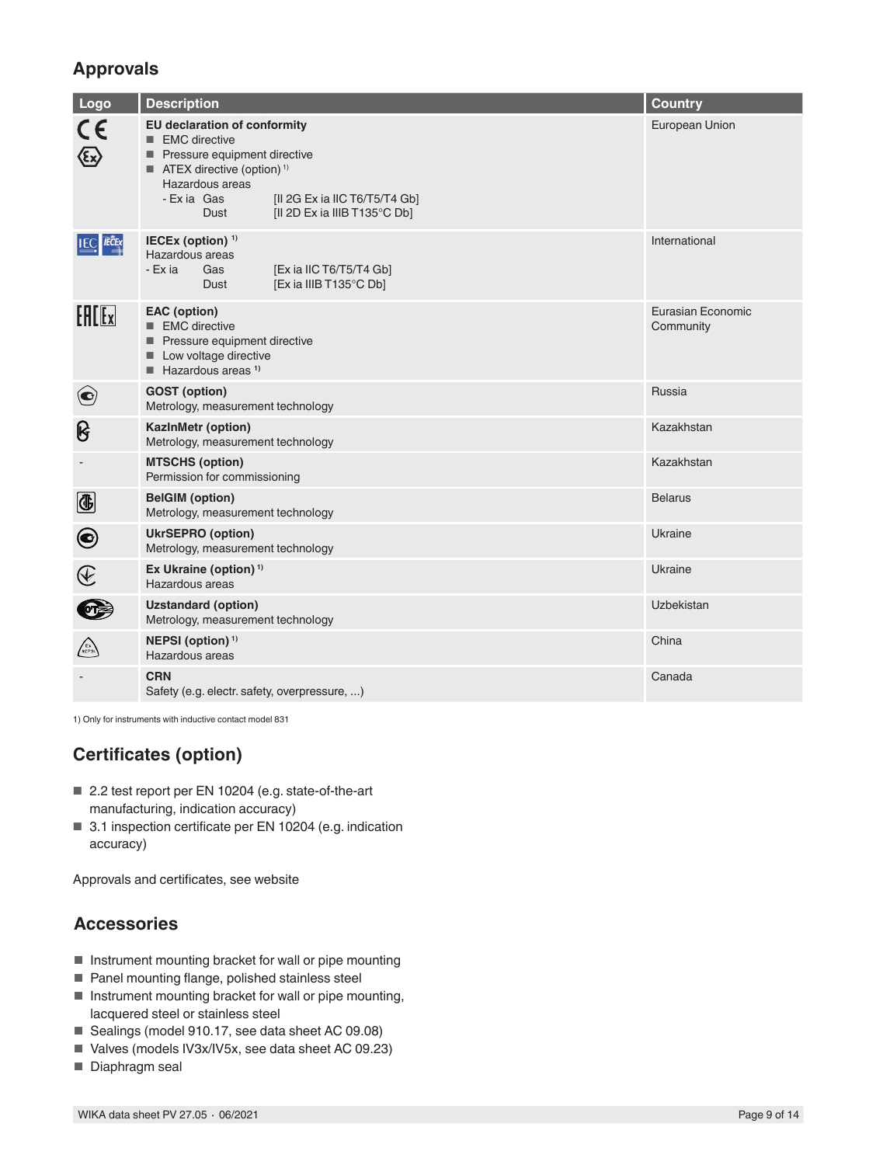# **Approvals**

| Logo                                                                             | <b>Description</b>                                                                                                                                                                                                                                       | <b>Country</b>                 |
|----------------------------------------------------------------------------------|----------------------------------------------------------------------------------------------------------------------------------------------------------------------------------------------------------------------------------------------------------|--------------------------------|
| CE                                                                               | <b>EU declaration of conformity</b><br>■ EMC directive<br>Pressure equipment directive<br>$\blacksquare$ ATEX directive (option) <sup>1)</sup><br>Hazardous areas<br>- Exia Gas<br>[II 2G Ex ia IIC T6/T5/T4 Gb]<br>[II 2D Ex ia IIIB T135°C Db]<br>Dust | European Union                 |
| <b>IEC IECE</b> x                                                                | IECEx (option) <sup>1)</sup><br>Hazardous areas<br>- Ex ia<br>[Ex ia IIC T6/T5/T4 Gb]<br>Gas<br>[Ex ia IIIB T135°C Db]<br>Dust                                                                                                                           | International                  |
| Fff[x]                                                                           | <b>EAC</b> (option)<br>■ EMC directive<br>Pressure equipment directive<br>Low voltage directive<br>$H$ Hazardous areas <sup>1)</sup>                                                                                                                     | Eurasian Economic<br>Community |
| $\left( \bullet \right)$                                                         | <b>GOST</b> (option)<br>Metrology, measurement technology                                                                                                                                                                                                | Russia                         |
| ၆                                                                                | <b>KazInMetr (option)</b><br>Metrology, measurement technology                                                                                                                                                                                           | Kazakhstan                     |
|                                                                                  | <b>MTSCHS (option)</b><br>Permission for commissioning                                                                                                                                                                                                   | Kazakhstan                     |
| $\bigcirc$                                                                       | <b>BelGIM</b> (option)<br>Metrology, measurement technology                                                                                                                                                                                              | <b>Belarus</b>                 |
| $\boldsymbol{\Theta}$                                                            | <b>UkrSEPRO (option)</b><br>Metrology, measurement technology                                                                                                                                                                                            | Ukraine                        |
| $\bigcircled{\hspace{-0.3pt}\begin{array}{c}\hbox{\large$\epsilon$}\end{array}}$ | Ex Ukraine (option) $1$<br>Hazardous areas                                                                                                                                                                                                               | Ukraine                        |
| $\bullet$                                                                        | <b>Uzstandard (option)</b><br>Metrology, measurement technology                                                                                                                                                                                          | Uzbekistan                     |
| <b>EX</b>                                                                        | NEPSI (option) <sup>1)</sup><br>Hazardous areas                                                                                                                                                                                                          | China                          |
|                                                                                  | <b>CRN</b><br>Safety (e.g. electr. safety, overpressure, )                                                                                                                                                                                               | Canada                         |

1) Only for instruments with inductive contact model 831

# **Certificates (option)**

- 2.2 test report per EN 10204 (e.g. state-of-the-art manufacturing, indication accuracy)
- 3.1 inspection certificate per EN 10204 (e.g. indication accuracy)

Approvals and certificates, see website

### **Accessories**

- Instrument mounting bracket for wall or pipe mounting
- Panel mounting flange, polished stainless steel
- Instrument mounting bracket for wall or pipe mounting, lacquered steel or stainless steel
- Sealings (model 910.17, see data sheet AC 09.08)
- Valves (models IV3x/IV5x, see data sheet AC 09.23)
- Diaphragm seal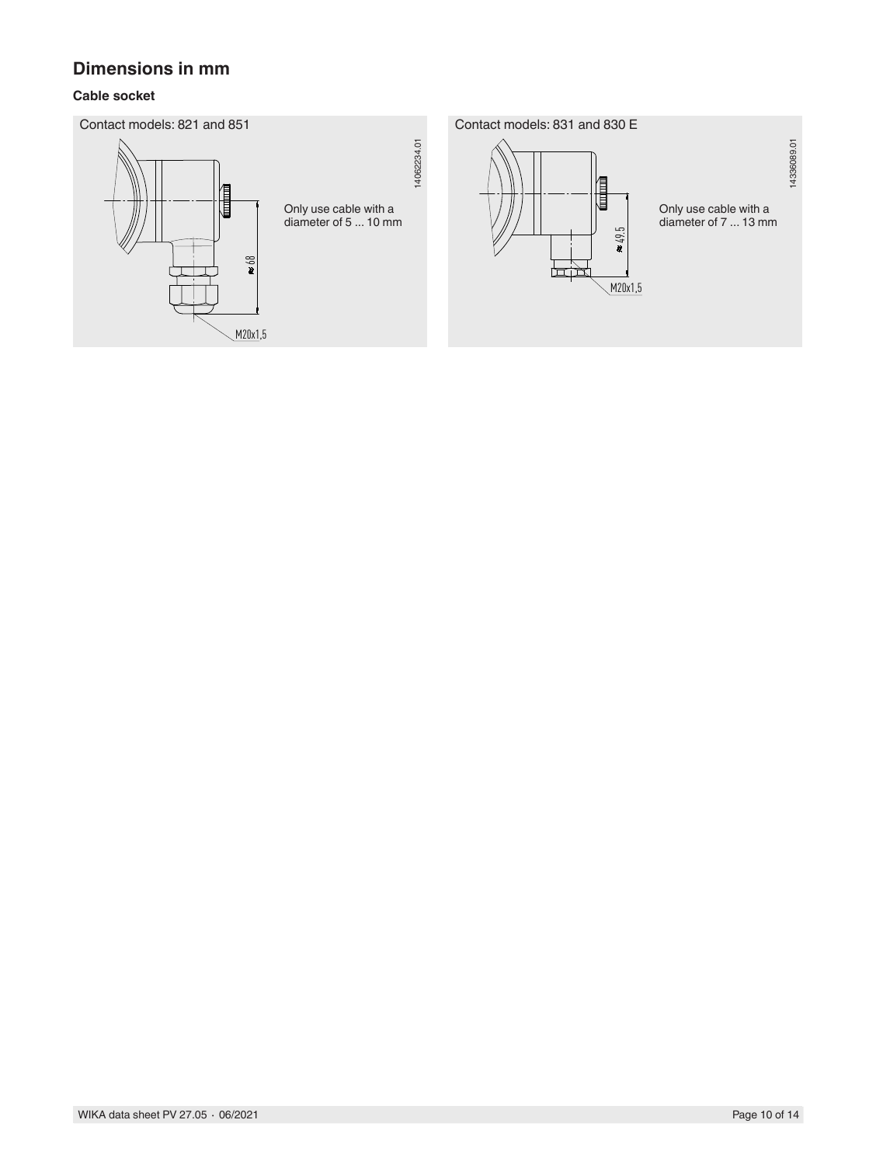## **Dimensions in mm**

### **Cable socket**

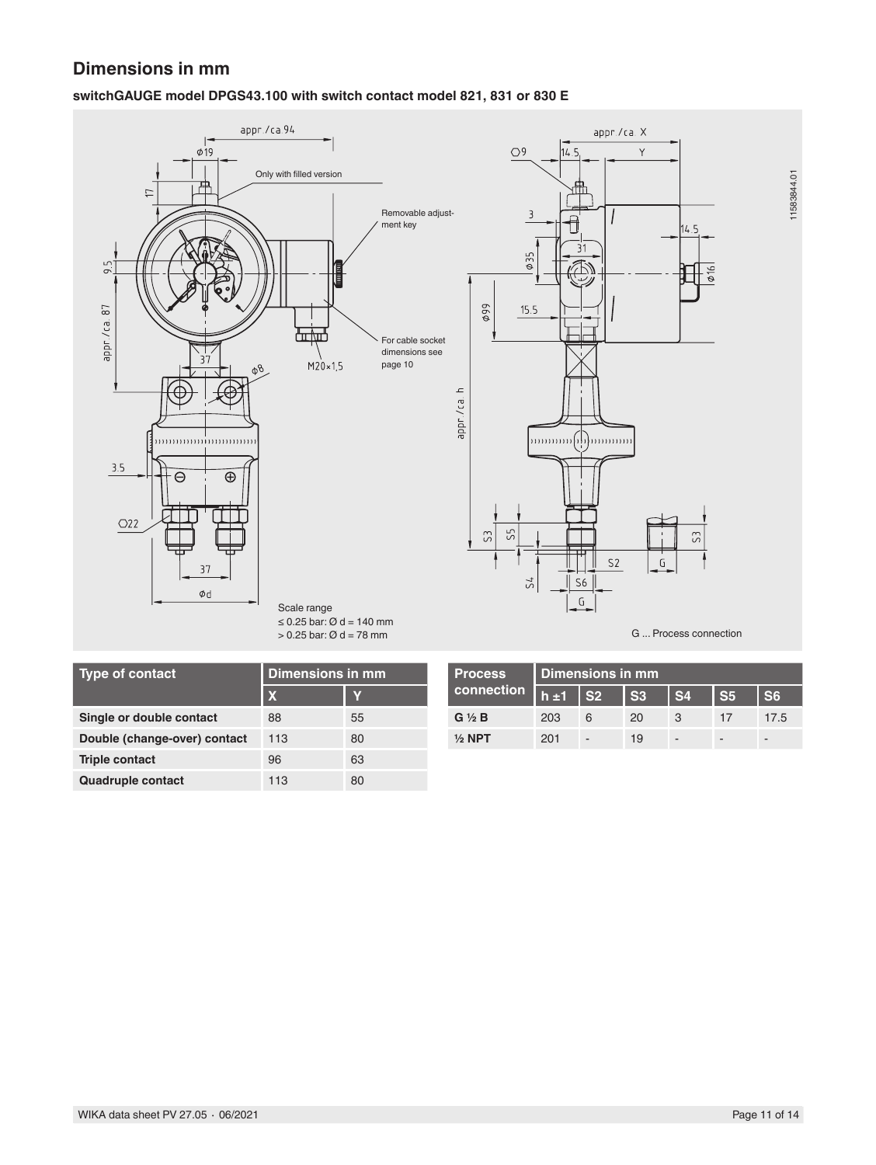## **Dimensions in mm**

### **switchGAUGE model DPGS43.100 with switch contact model 821, 831 or 830 E**



| <b>Type of contact</b>       | <b>Dimensions in mm</b> |    |
|------------------------------|-------------------------|----|
|                              | X                       | Y  |
| Single or double contact     | 88                      | 55 |
| Double (change-over) contact | 113                     | 80 |
| <b>Triple contact</b>        | 96                      | 63 |
| <b>Quadruple contact</b>     | 113                     | 80 |

| <b>Process</b> '  | Dimensions in mm |                |                |                |                |      |
|-------------------|------------------|----------------|----------------|----------------|----------------|------|
| connection        | h±1              | S <sub>2</sub> | S <sub>3</sub> | S <sub>4</sub> | S <sub>5</sub> | S6   |
| $G \ntriangle B$  | 203              | 6              | 20             | 3              |                | 17.5 |
| $\frac{1}{2}$ NPT | 201              | -              | 19             | -              | -              |      |

11583844.01

11583844.01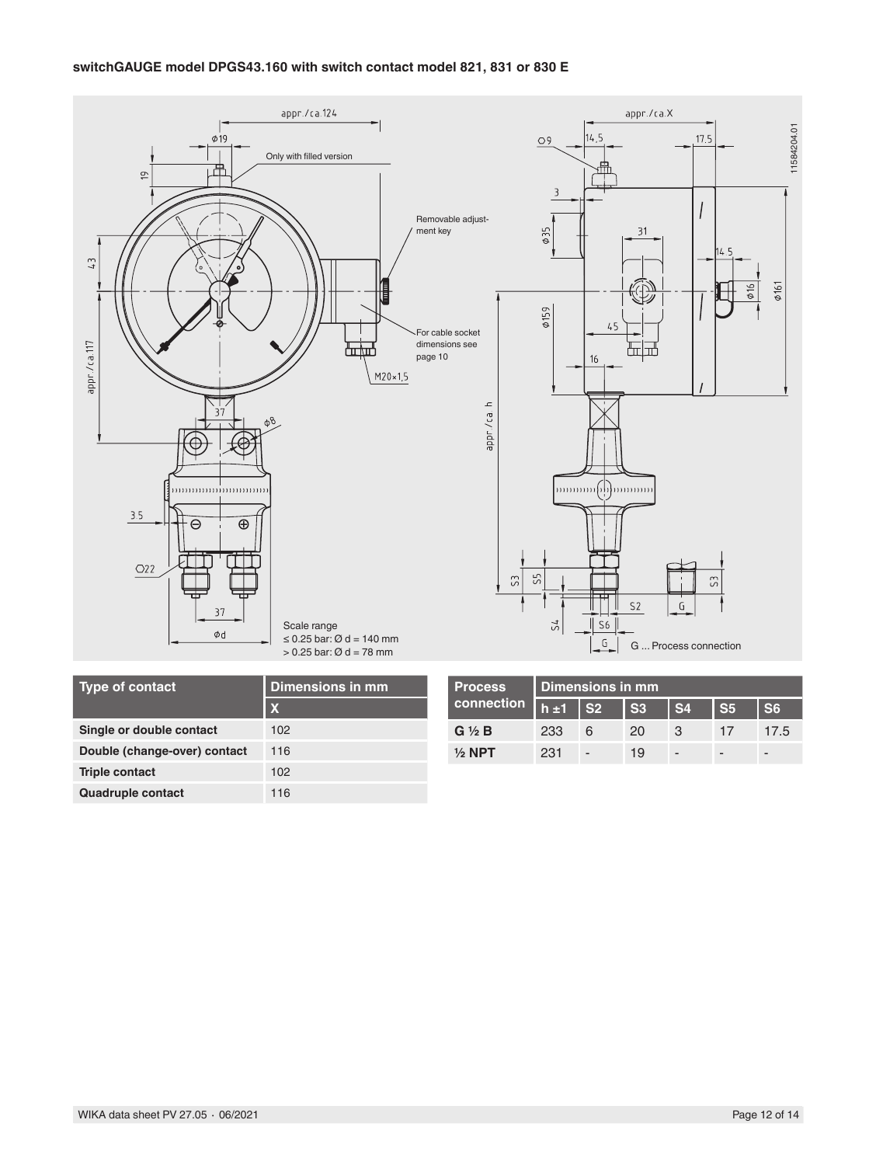

| <b>Type of contact</b>       | Dimensions in mm     | <b>Process</b>   | Dimensions in mm |                          |      |                          |                          |      |
|------------------------------|----------------------|------------------|------------------|--------------------------|------|--------------------------|--------------------------|------|
| connection<br>$\mathbf x$    | $\overline{h}$ ±1 S2 |                  | $\mathsf{S}3$    | l S4                     | l S5 | S <sub>6</sub>           |                          |      |
| Single or double contact     | 102                  | $G \ntriangle B$ | 233              | 6                        | 20   | -3                       |                          | 17.5 |
| Double (change-over) contact | 116                  | $1/2$ NPT        | 231              | $\overline{\phantom{a}}$ | 19   | $\overline{\phantom{0}}$ | $\overline{\phantom{a}}$ | -    |
| <b>Triple contact</b>        | 102                  |                  |                  |                          |      |                          |                          |      |
| <b>Quadruple contact</b>     | 116                  |                  |                  |                          |      |                          |                          |      |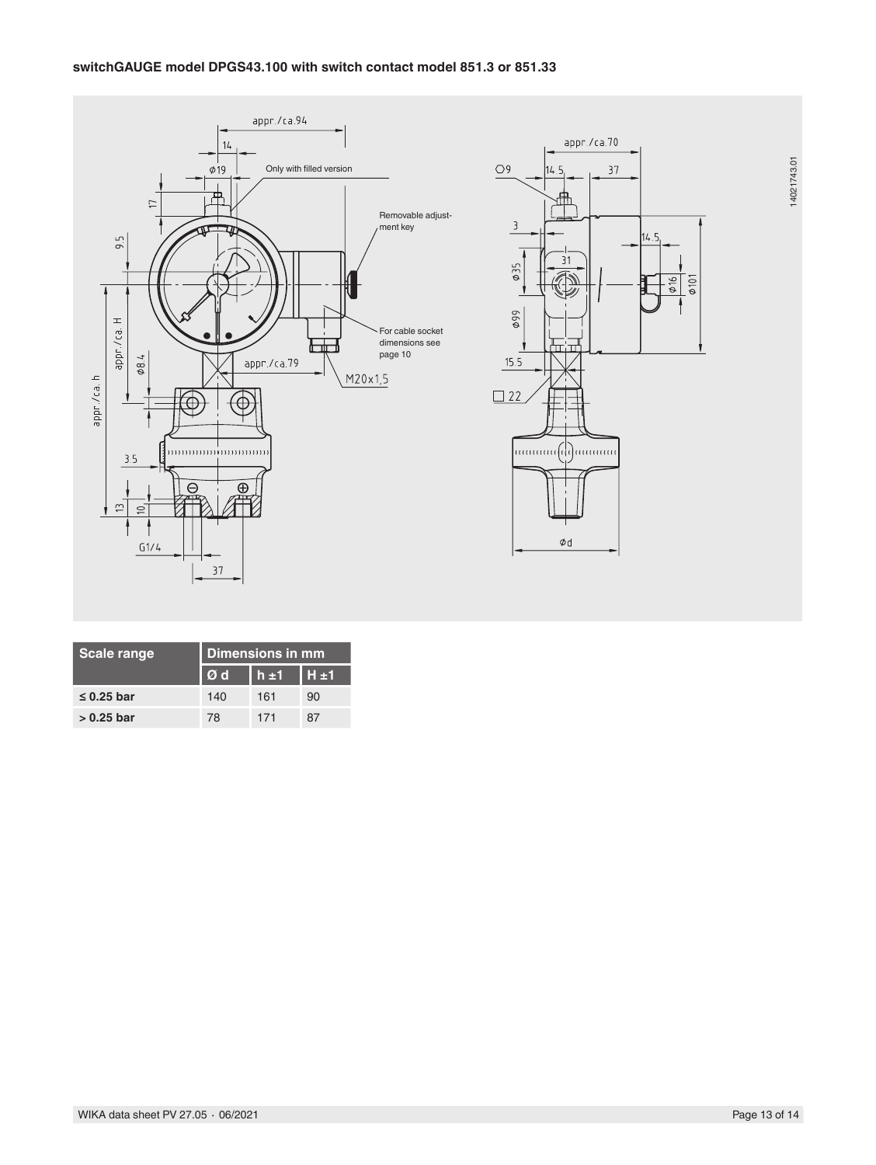

| <b>Scale range</b> | Dimensions in mm |             |       |  |
|--------------------|------------------|-------------|-------|--|
|                    | Ød               | $h_{\pm 1}$ | .H ±1 |  |
| $\leq$ 0.25 bar    | 140              | 161         | 90    |  |
| $> 0.25$ bar       | 78               | 171         | 87    |  |